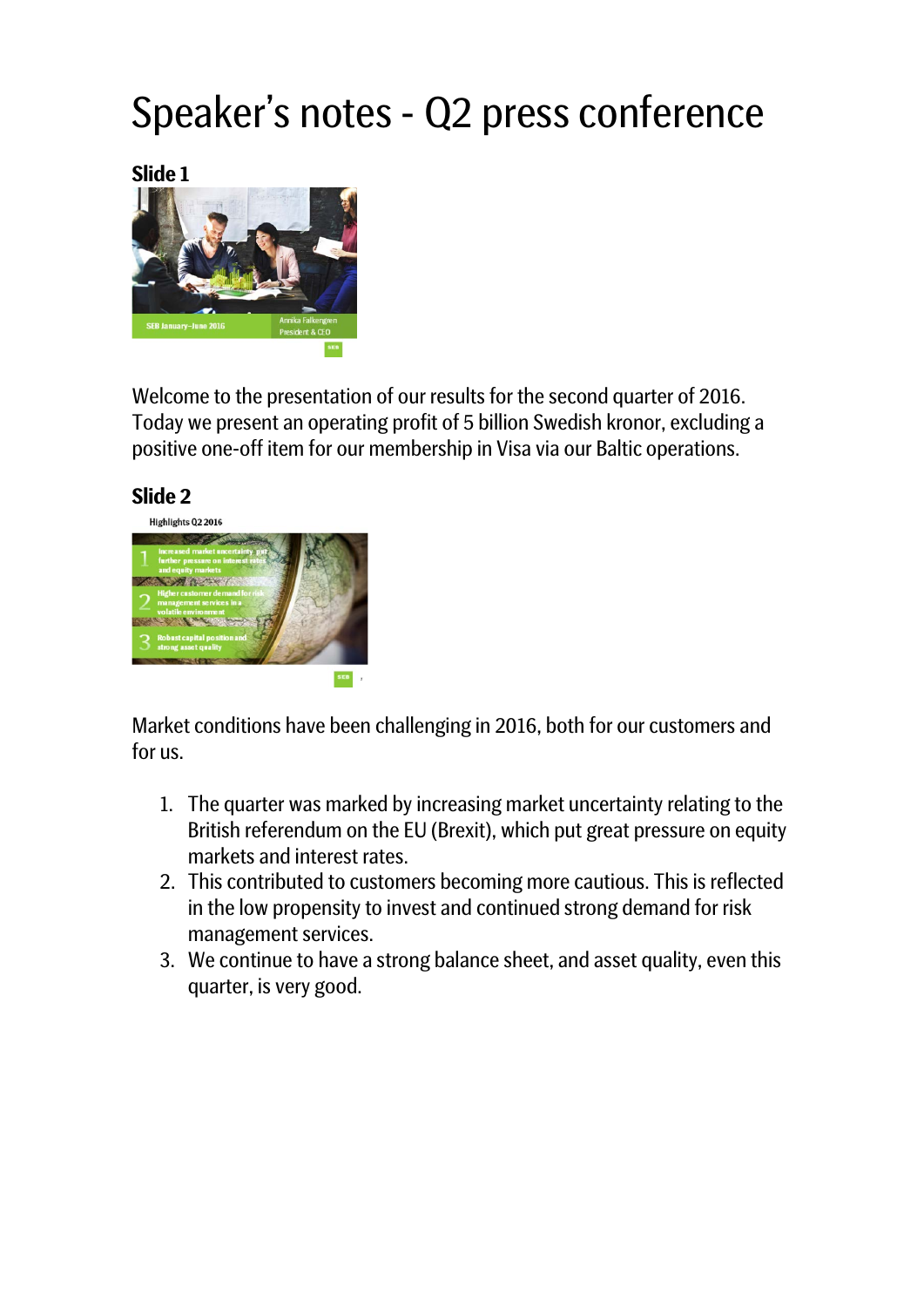# Speaker's notes - Q2 press conference

**Slide 1**



Welcome to the presentation of our results for the second quarter of 2016. Today we present an operating profit of 5 billion Swedish kronor, excluding a positive one-off item for our membership in Visa via our Baltic operations.



Market conditions have been challenging in 2016, both for our customers and for us.

- 1. The quarter was marked by increasing market uncertainty relating to the British referendum on the EU (Brexit), which put great pressure on equity markets and interest rates.
- 2. This contributed to customers becoming more cautious. This is reflected in the low propensity to invest and continued strong demand for risk management services.
- 3. We continue to have a strong balance sheet, and asset quality, even this quarter, is very good.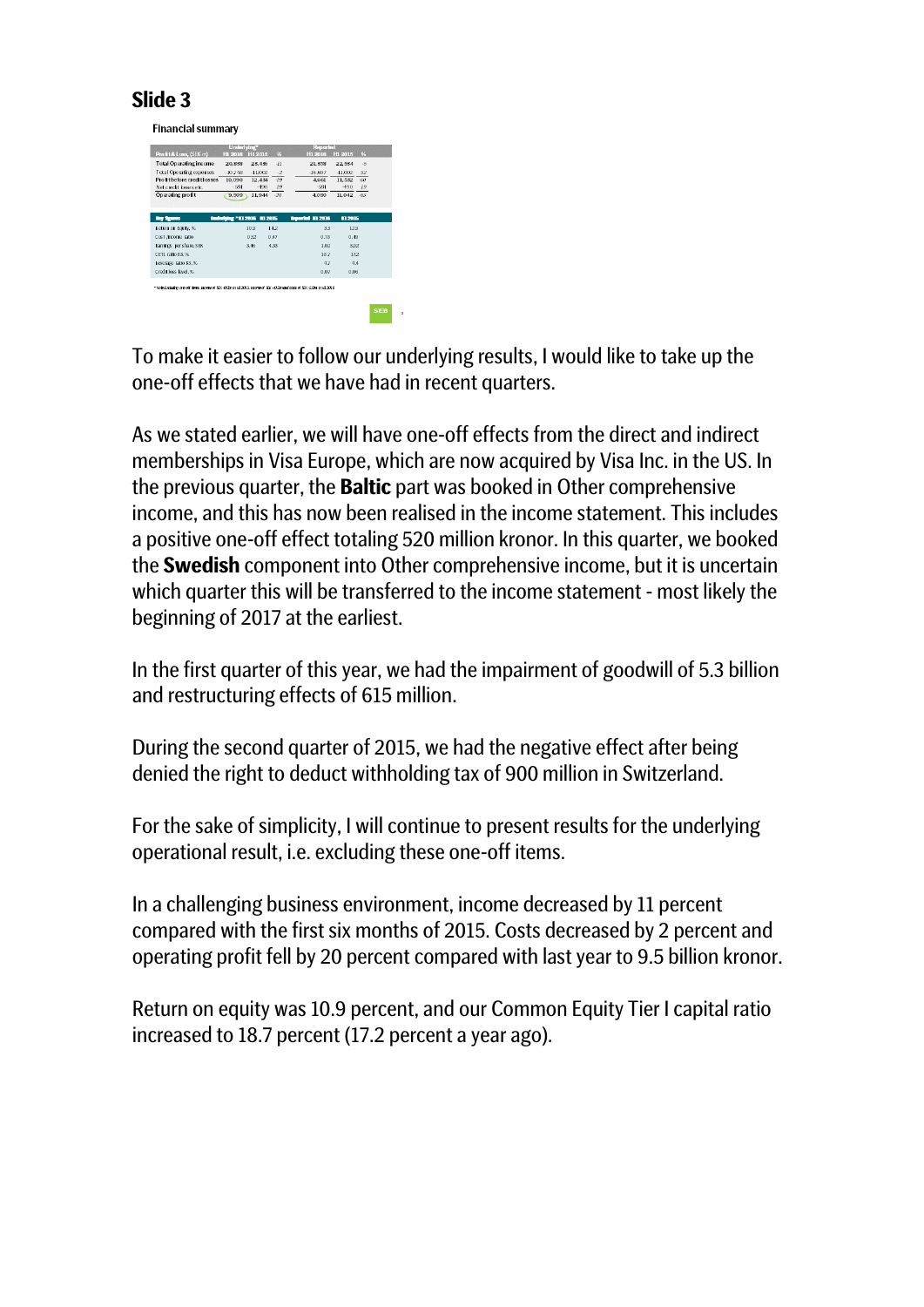**Financial summary** 

|                                                                                                                         | Underlying*                          |           |       | <b>Reported</b>         |           |                 |            |
|-------------------------------------------------------------------------------------------------------------------------|--------------------------------------|-----------|-------|-------------------------|-----------|-----------------|------------|
| Profit& Loss, (SEK m)                                                                                                   | Ht 2016                              | H1 2015   | %     | H1 2016                 | Ht 2015   | $\frac{96}{25}$ |            |
| <b>Total Operating income</b>                                                                                           | 20,838                               | 23.436    | $-11$ | 21,358                  | 22.534    | $\sqrt{2}$      |            |
| <b>Total Operating expenses</b>                                                                                         | $-10.748$                            | $-11,002$ | $-2$  | $-16,697$               | $-11,002$ | 52              |            |
| Profit before credit losses                                                                                             | 10,090                               | 12.434    | $-19$ | 4.661                   | 11.532    | $-60$           |            |
| Net credit losses etc.                                                                                                  | $-581$                               | $-450$    | 19    | $-581$                  | $-490$    | 19              |            |
| Operating profit                                                                                                        | 9,509                                | 11,944    | $-20$ | 4.080                   | 11.042    | $-63$           |            |
|                                                                                                                         |                                      |           |       |                         |           |                 |            |
|                                                                                                                         |                                      |           |       |                         |           |                 |            |
| <b>Rey Reserves</b>                                                                                                     | <b>Underlying "111 2016 111 2015</b> |           |       | <b>Reported 11 2016</b> | 112015    |                 |            |
| Return on Equity, %                                                                                                     |                                      | 10.9      | 142   | 33                      | 129       |                 |            |
| Cost /income ratio                                                                                                      |                                      | 0.52      | 0.47  | 0.78                    | 0.49      |                 |            |
| <b>Earnings</b> per share, SEK                                                                                          |                                      | 3.46      | 4.33  | 1.02                    | 3.92      |                 |            |
| CET1 ratio 83.%                                                                                                         |                                      |           |       | 187                     | 172       |                 |            |
| Leverage ratio 83,%                                                                                                     |                                      |           |       | 47                      | 4.4       |                 |            |
| Credit loss level. %                                                                                                    |                                      |           |       | 0.07                    | 0.06      |                 |            |
|                                                                                                                         |                                      |           |       |                         |           |                 |            |
| * Note Excludes one off there, income of \$26, 050n in H1 2015, income of \$26,+050n and costs of \$26,550n in H1 2016. |                                      |           |       |                         |           |                 |            |
|                                                                                                                         |                                      |           |       |                         |           |                 |            |
|                                                                                                                         |                                      |           |       |                         |           |                 |            |
|                                                                                                                         |                                      |           |       |                         |           |                 | <b>SEB</b> |
|                                                                                                                         |                                      |           |       |                         |           |                 |            |

To make it easier to follow our underlying results, I would like to take up the one-off effects that we have had in recent quarters.

As we stated earlier, we will have one-off effects from the direct and indirect memberships in Visa Europe, which are now acquired by Visa Inc. in the US. In the previous quarter, the **Baltic** part was booked in Other comprehensive income, and this has now been realised in the income statement. This includes a positive one-off effect totaling 520 million kronor. In this quarter, we booked the **Swedish** component into Other comprehensive income, but it is uncertain which quarter this will be transferred to the income statement - most likely the beginning of 2017 at the earliest.

In the first quarter of this year, we had the impairment of goodwill of 5.3 billion and restructuring effects of 615 million.

During the second quarter of 2015, we had the negative effect after being denied the right to deduct withholding tax of 900 million in Switzerland.

For the sake of simplicity, I will continue to present results for the underlying operational result, i.e. excluding these one-off items.

In a challenging business environment, income decreased by 11 percent compared with the first six months of 2015. Costs decreased by 2 percent and operating profit fell by 20 percent compared with last year to 9.5 billion kronor.

Return on equity was 10.9 percent, and our Common Equity Tier I capital ratio increased to 18.7 percent (17.2 percent a year ago)*.*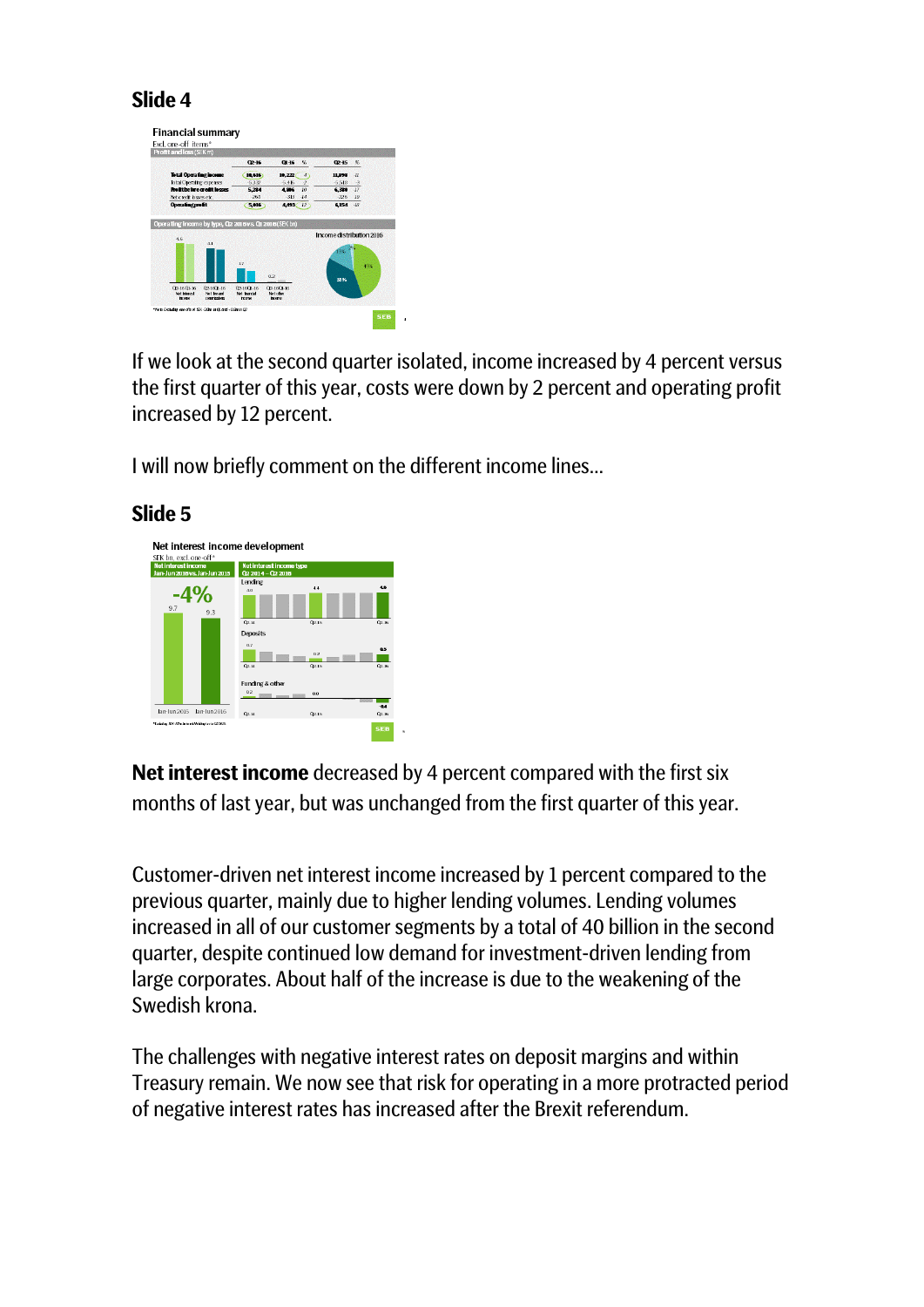

If we look at the second quarter isolated, income increased by 4 percent versus the first quarter of this year, costs were down by 2 percent and operating profit increased by 12 percent.

I will now briefly comment on the different income lines…



## **Slide 5**

**Net interest income** decreased by 4 percent compared with the first six months of last year, but was unchanged from the first quarter of this year.

Customer-driven net interest income increased by 1 percent compared to the previous quarter, mainly due to higher lending volumes. Lending volumes increased in all of our customer segments by a total of 40 billion in the second quarter, despite continued low demand for investment-driven lending from large corporates. About half of the increase is due to the weakening of the Swedish krona.

The challenges with negative interest rates on deposit margins and within Treasury remain. We now see that risk for operating in a more protracted period of negative interest rates has increased after the Brexit referendum.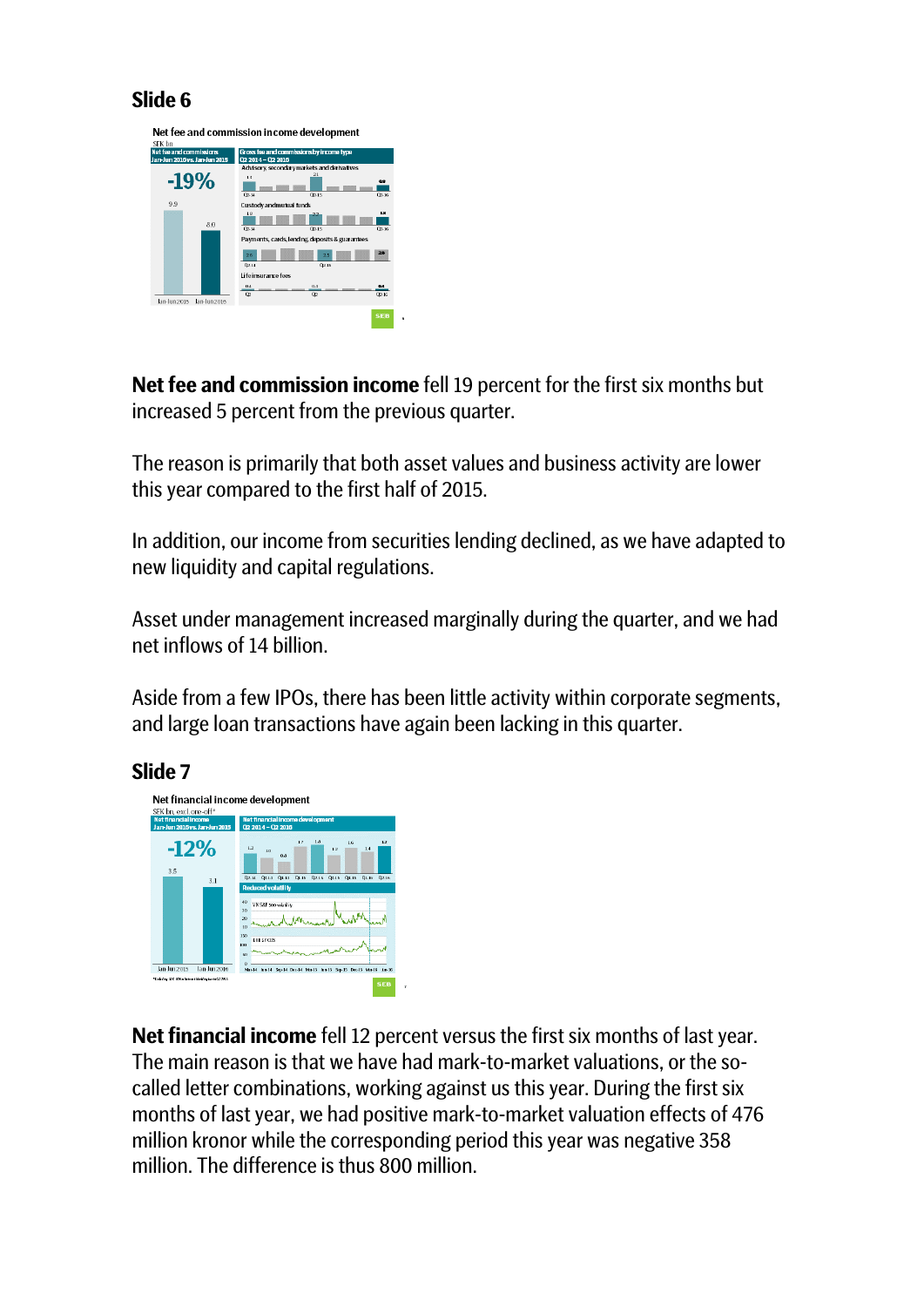Net fee and commission income development



**Net fee and commission income** fell 19 percent for the first six months but increased 5 percent from the previous quarter.

The reason is primarily that both asset values and business activity are lower this year compared to the first half of 2015.

In addition, our income from securities lending declined, as we have adapted to new liquidity and capital regulations.

Asset under management increased marginally during the quarter, and we had net inflows of 14 billion.

Aside from a few IPOs, there has been little activity within corporate segments, and large loan transactions have again been lacking in this quarter.

# **Slide 7**



**Net financial income** fell 12 percent versus the first six months of last year. The main reason is that we have had mark-to-market valuations, or the socalled letter combinations, working against us this year. During the first six months of last year, we had positive mark-to-market valuation effects of 476 million kronor while the corresponding period this year was negative 358 million. The difference is thus 800 million.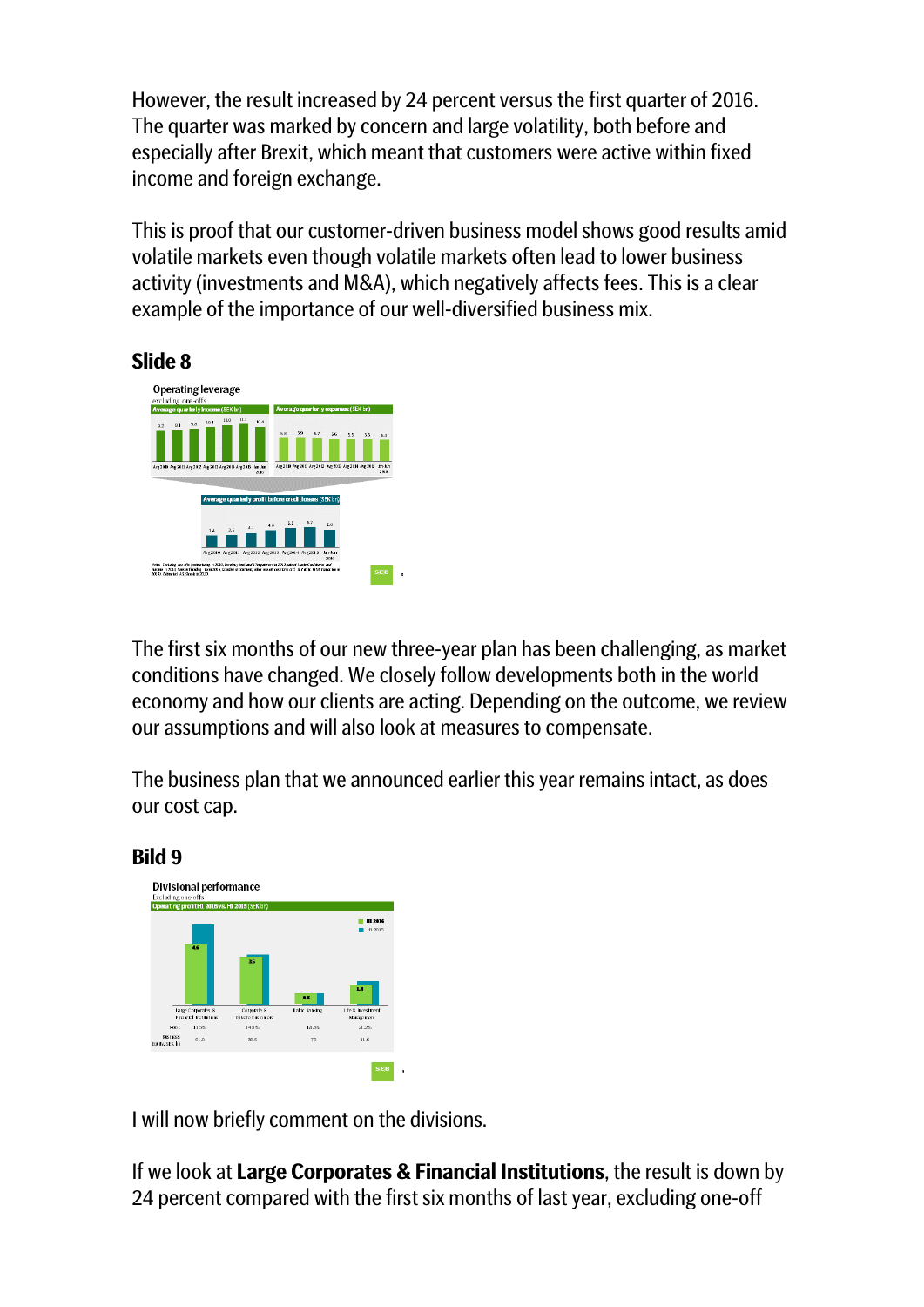However, the result increased by 24 percent versus the first quarter of 2016. The quarter was marked by concern and large volatility, both before and especially after Brexit, which meant that customers were active within fixed income and foreign exchange.

This is proof that our customer-driven business model shows good results amid volatile markets even though volatile markets often lead to lower business activity (investments and M&A), which negatively affects fees. This is a clear example of the importance of our well-diversified business mix.

#### **Slide 8**



The first six months of our new three-year plan has been challenging, as market conditions have changed. We closely follow developments both in the world economy and how our clients are acting. Depending on the outcome, we review our assumptions and will also look at measures to compensate.

The business plan that we announced earlier this year remains intact, as does our cost cap.



I will now briefly comment on the divisions.

If we look at **Large Corporates & Financial Institutions**, the result is down by 24 percent compared with the first six months of last year, excluding one-off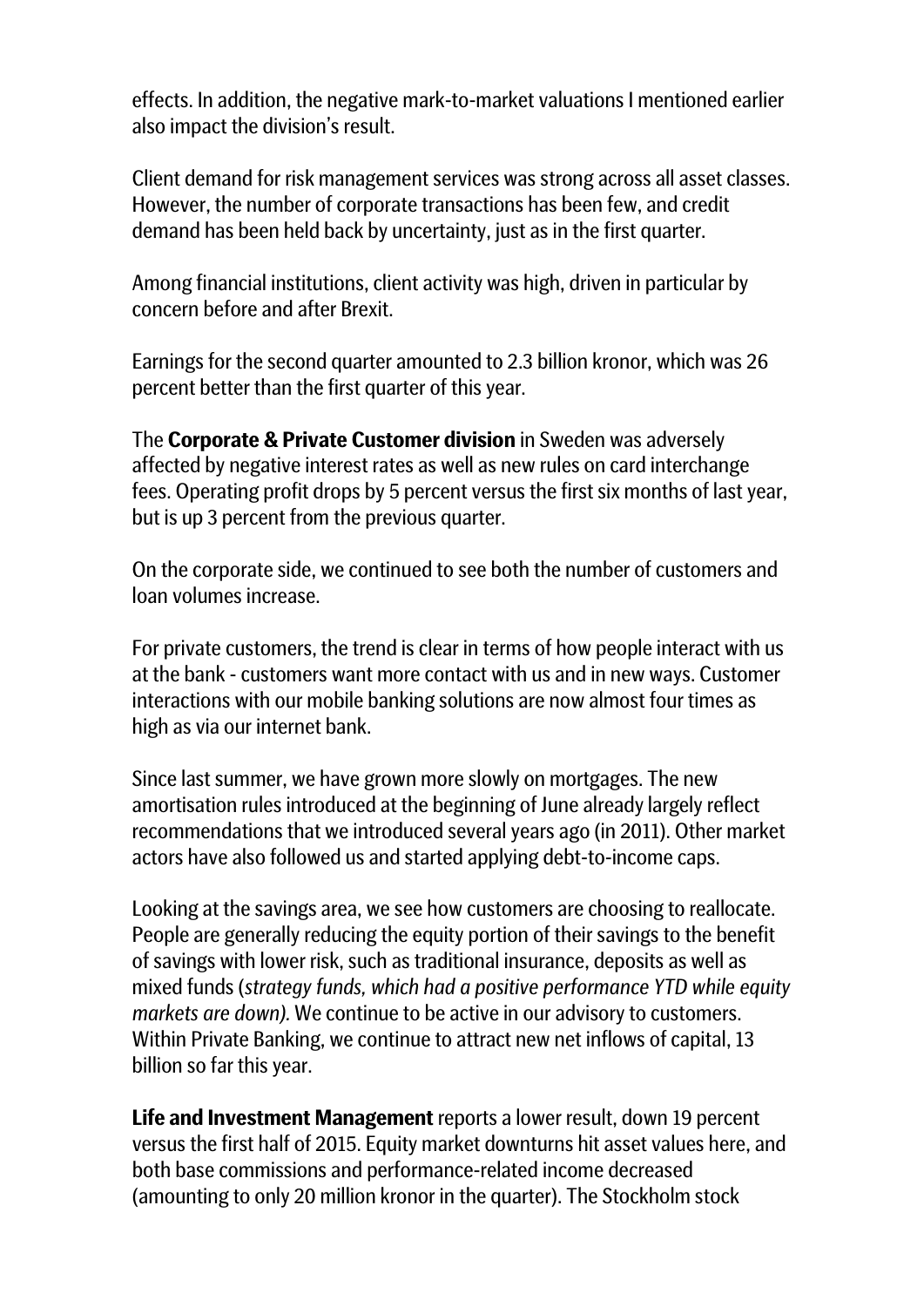effects. In addition, the negative mark-to-market valuations I mentioned earlier also impact the division's result.

Client demand for risk management services was strong across all asset classes. However, the number of corporate transactions has been few, and credit demand has been held back by uncertainty, just as in the first quarter.

Among financial institutions, client activity was high, driven in particular by concern before and after Brexit.

Earnings for the second quarter amounted to 2.3 billion kronor, which was 26 percent better than the first quarter of this year.

The **Corporate & Private Customer division** in Sweden was adversely affected by negative interest rates as well as new rules on card interchange fees. Operating profit drops by 5 percent versus the first six months of last year, but is up 3 percent from the previous quarter.

On the corporate side, we continued to see both the number of customers and loan volumes increase.

For private customers, the trend is clear in terms of how people interact with us at the bank - customers want more contact with us and in new ways. Customer interactions with our mobile banking solutions are now almost four times as high as via our internet bank.

Since last summer, we have grown more slowly on mortgages. The new amortisation rules introduced at the beginning of June already largely reflect recommendations that we introduced several years ago (in 2011). Other market actors have also followed us and started applying debt-to-income caps.

Looking at the savings area, we see how customers are choosing to reallocate. People are generally reducing the equity portion of their savings to the benefit of savings with lower risk, such as traditional insurance, deposits as well as mixed funds (*strategy funds, which had a positive performance YTD while equity markets are down).* We continue to be active in our advisory to customers. Within Private Banking, we continue to attract new net inflows of capital, 13 billion so far this year.

**Life and Investment Management** reports a lower result, down 19 percent versus the first half of 2015. Equity market downturns hit asset values here, and both base commissions and performance-related income decreased (amounting to only 20 million kronor in the quarter). The Stockholm stock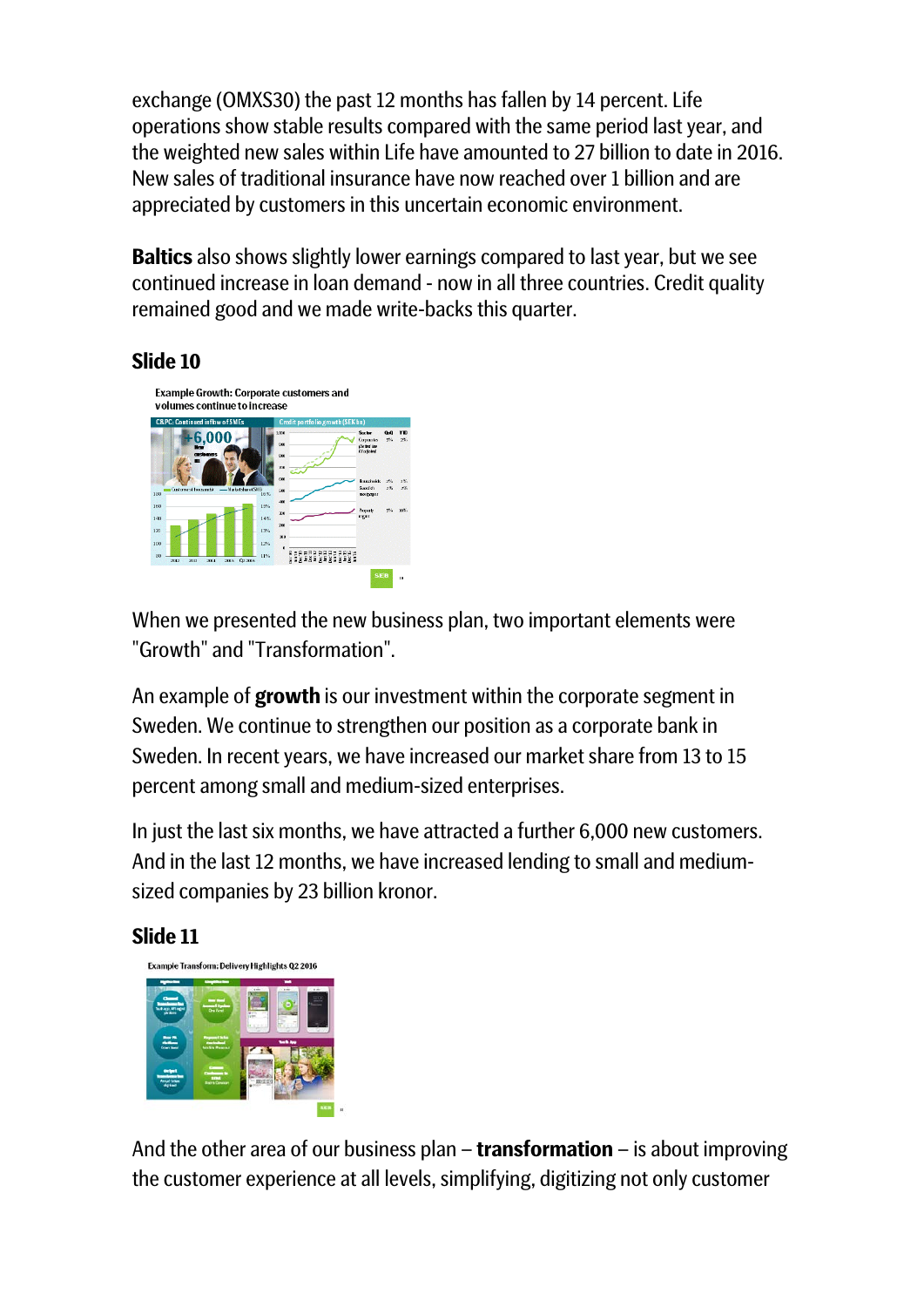exchange (OMXS30) the past 12 months has fallen by 14 percent. Life operations show stable results compared with the same period last year, and the weighted new sales within Life have amounted to 27 billion to date in 2016. New sales of traditional insurance have now reached over 1 billion and are appreciated by customers in this uncertain economic environment.

**Baltics** also shows slightly lower earnings compared to last year, but we see continued increase in loan demand - now in all three countries. Credit quality remained good and we made write-backs this quarter.

# **Slide 10**



When we presented the new business plan, two important elements were "Growth" and "Transformation".

An example of **growth** is our investment within the corporate segment in Sweden. We continue to strengthen our position as a corporate bank in Sweden. In recent years, we have increased our market share from 13 to 15 percent among small and medium-sized enterprises.

In just the last six months, we have attracted a further 6,000 new customers. And in the last 12 months, we have increased lending to small and mediumsized companies by 23 billion kronor.

#### **Slide 11**



And the other area of our business plan – **transformation** – is about improving the customer experience at all levels, simplifying, digitizing not only customer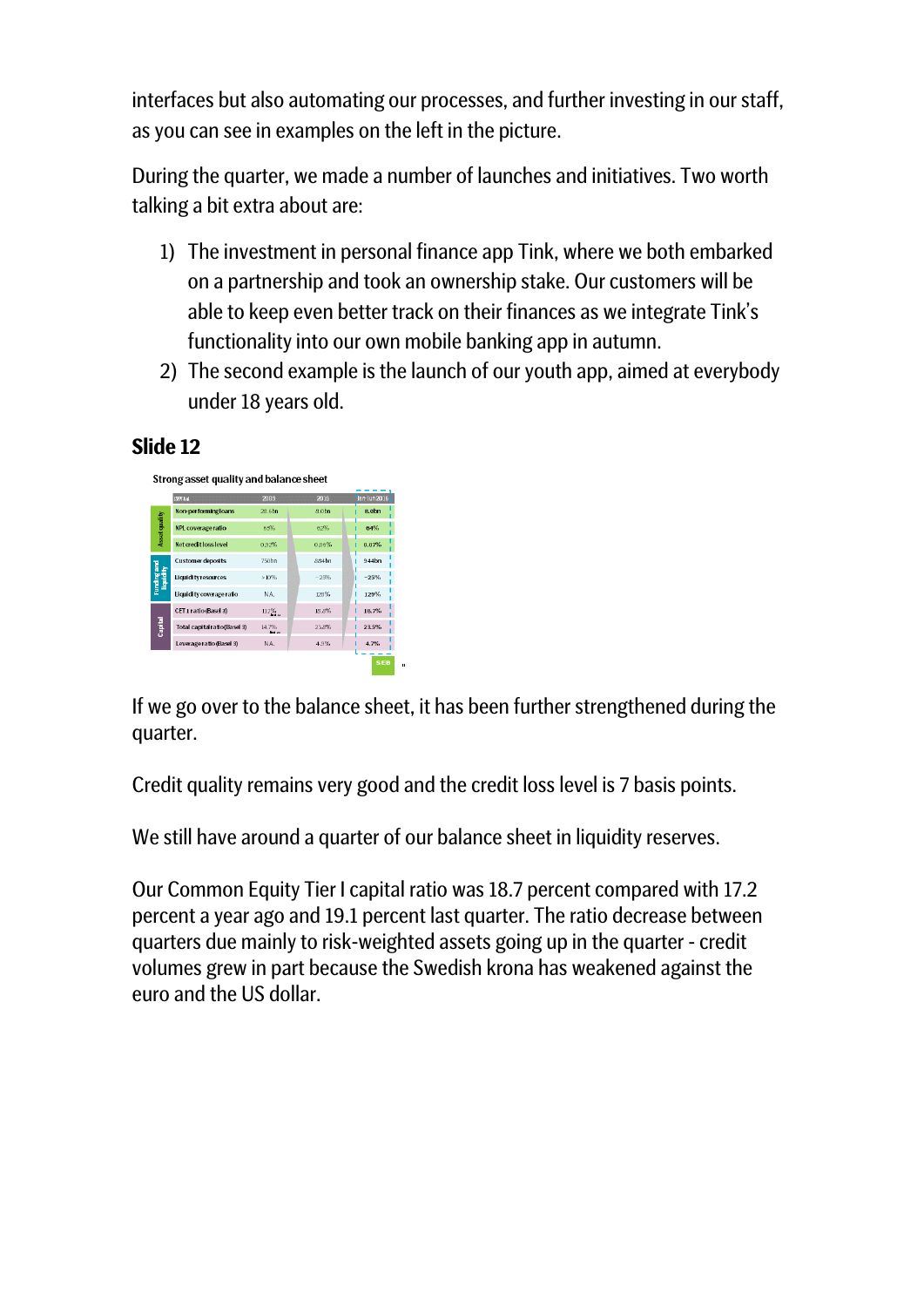interfaces but also automating our processes, and further investing in our staff, as you can see in examples on the left in the picture.

During the quarter, we made a number of launches and initiatives. Two worth talking a bit extra about are:

- 1) The investment in personal finance app Tink, where we both embarked on a partnership and took an ownership stake. Our customers will be able to keep even better track on their finances as we integrate Tink's functionality into our own mobile banking app in autumn.
- 2) The second example is the launch of our youth app, aimed at everybody under 18 years old.

# **Slide 12**

Strong asset quality and balance sheet



If we go over to the balance sheet, it has been further strengthened during the quarter.

Credit quality remains very good and the credit loss level is 7 basis points.

We still have around a quarter of our balance sheet in liquidity reserves.

Our Common Equity Tier I capital ratio was 18.7 percent compared with 17.2 percent a year ago and 19.1 percent last quarter. The ratio decrease between quarters due mainly to risk-weighted assets going up in the quarter - credit volumes grew in part because the Swedish krona has weakened against the euro and the US dollar.